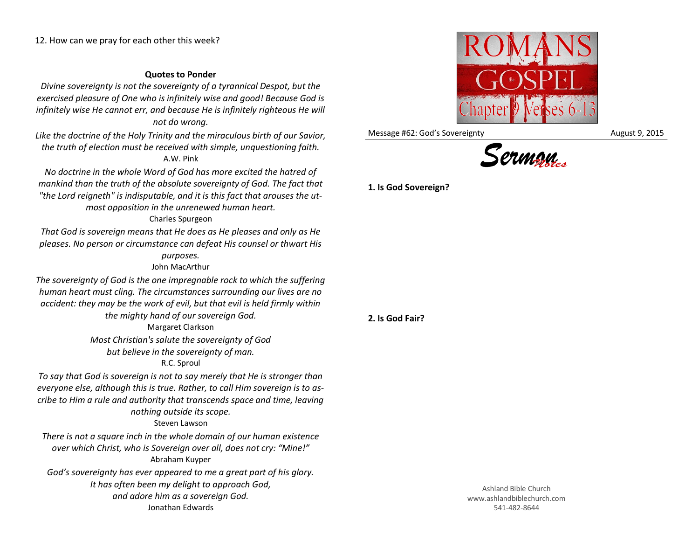## **Quotes to Ponder**

*Divine sovereignty is not the sovereignty of a tyrannical Despot, but the exercised pleasure of One who is infinitely wise and good! Because God is infinitely wise He cannot err, and because He is infinitely righteous He will not do wrong.*

*Like the doctrine of the Holy Trinity and the miraculous birth of our Savior, the truth of election must be received with simple, unquestioning faith.* A.W. Pink

*No doctrine in the whole Word of God has more excited the hatred of mankind than the truth of the absolute sovereignty of God. The fact that "the Lord reigneth" is indisputable, and it is this fact that arouses the utmost opposition in the unrenewed human heart.*

## Charles Spurgeon

*That God is sovereign means that He does as He pleases and only as He pleases. No person or circumstance can defeat His counsel or thwart His purposes.*

## John MacArthur

*The sovereignty of God is the one impregnable rock to which the suffering human heart must cling. The circumstances surrounding our lives are no accident: they may be the work of evil, but that evil is held firmly within* 

*the mighty hand of our sovereign God.*

Margaret Clarkson *Most Christian's salute the sovereignty of God but believe in the sovereignty of man.*

## R.C. Sproul

*To say that God is sovereign is not to say merely that He is stronger than everyone else, although this is true. Rather, to call Him sovereign is to ascribe to Him a rule and authority that transcends space and time, leaving nothing outside its scope.*

Steven Lawson

*There is not a square inch in the whole domain of our human existence over which Christ, who is Sovereign over all, does not cry: "Mine!"* Abraham Kuyper *God's sovereignty has ever appeared to me a great part of his glory.* 

*It has often been my delight to approach God, and adore him as a sovereign God.* Jonathan Edwards



Message #62: God's Sovereignty Message #62: God's Sovereignty



**1. Is God Sovereign?**

**2. Is God Fair?**

Ashland Bible Church www.ashlandbiblechurch.com 541-482-8644